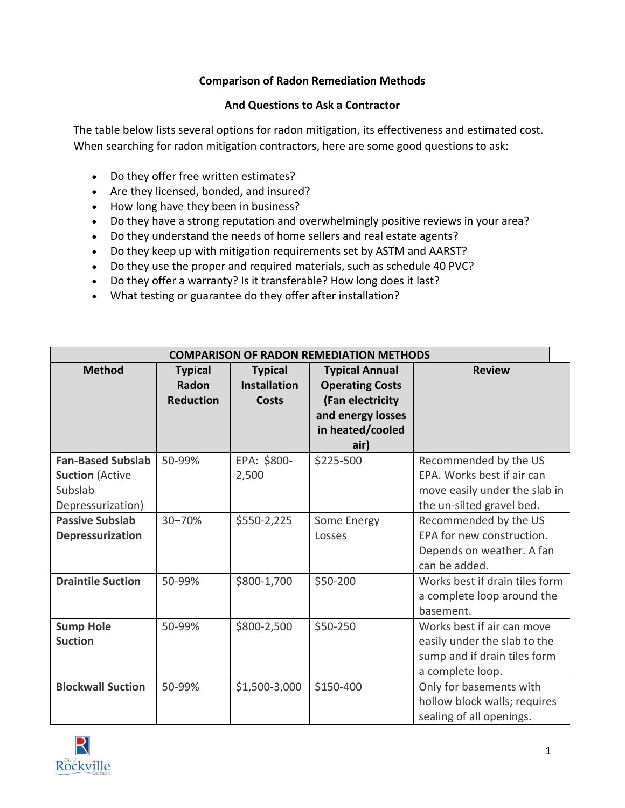## **Comparison of Radon Remediation Methods**

## **And Questions to Ask a Contractor**

The table below lists several options for radon mitigation, its effectiveness and estimated cost. When searching for radon mitigation contractors, here are some good questions to ask:

- Do they offer free written estimates?
- Are they licensed, bonded, and insured?
- How long have they been in business?
- Do they have a strong reputation and overwhelmingly positive reviews in your area?
- Do they understand the needs of home sellers and real estate agents?
- Do they keep up with mitigation requirements set by ASTM and AARST?
- Do they use the proper and required materials, such as schedule 40 PVC?
- Do they offer a warranty? Is it transferable? How long does it last?
- What testing or guarantee do they offer after installation?

| <b>COMPARISON OF RADON REMEDIATION METHODS</b>                                     |                                             |                                                       |                                                                                                                      |                                                                                                                   |  |  |  |
|------------------------------------------------------------------------------------|---------------------------------------------|-------------------------------------------------------|----------------------------------------------------------------------------------------------------------------------|-------------------------------------------------------------------------------------------------------------------|--|--|--|
| <b>Method</b>                                                                      | <b>Typical</b><br>Radon<br><b>Reduction</b> | <b>Typical</b><br><b>Installation</b><br><b>Costs</b> | <b>Typical Annual</b><br><b>Operating Costs</b><br>(Fan electricity<br>and energy losses<br>in heated/cooled<br>air) | <b>Review</b>                                                                                                     |  |  |  |
| <b>Fan-Based Subslab</b><br><b>Suction</b> (Active<br>Subslab<br>Depressurization) | 50-99%                                      | EPA: \$800-<br>2,500                                  | \$225-500                                                                                                            | Recommended by the US<br>EPA. Works best if air can<br>move easily under the slab in<br>the un-silted gravel bed. |  |  |  |
| <b>Passive Subslab</b><br>Depressurization                                         | 30-70%                                      | \$550-2,225                                           | Some Energy<br>Losses                                                                                                | Recommended by the US<br>EPA for new construction.<br>Depends on weather. A fan<br>can be added.                  |  |  |  |
| <b>Draintile Suction</b>                                                           | 50-99%                                      | \$800-1,700                                           | \$50-200                                                                                                             | Works best if drain tiles form<br>a complete loop around the<br>basement.                                         |  |  |  |
| <b>Sump Hole</b><br><b>Suction</b>                                                 | 50-99%                                      | \$800-2,500                                           | \$50-250                                                                                                             | Works best if air can move<br>easily under the slab to the<br>sump and if drain tiles form<br>a complete loop.    |  |  |  |
| <b>Blockwall Suction</b>                                                           | 50-99%                                      | \$1,500-3,000                                         | \$150-400                                                                                                            | Only for basements with<br>hollow block walls; requires<br>sealing of all openings.                               |  |  |  |